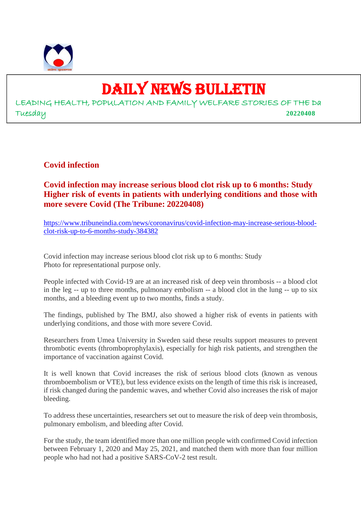

# DAILY NEWS BULLETIN

LEADING HEALTH, POPULATION AND FAMILY WELFARE STORIES OF THE Da Tuesday **20220408**

**Covid infection**

**Covid infection may increase serious blood clot risk up to 6 months: Study Higher risk of events in patients with underlying conditions and those with more severe Covid (The Tribune: 20220408)**

https://www.tribuneindia.com/news/coronavirus/covid-infection-may-increase-serious-bloodclot-risk-up-to-6-months-study-384382

Covid infection may increase serious blood clot risk up to 6 months: Study Photo for representational purpose only.

People infected with Covid-19 are at an increased risk of deep vein thrombosis -- a blood clot in the leg -- up to three months, pulmonary embolism -- a blood clot in the lung -- up to six months, and a bleeding event up to two months, finds a study.

The findings, published by The BMJ, also showed a higher risk of events in patients with underlying conditions, and those with more severe Covid.

Researchers from Umea University in Sweden said these results support measures to prevent thrombotic events (thromboprophylaxis), especially for high risk patients, and strengthen the importance of vaccination against Covid.

It is well known that Covid increases the risk of serious blood clots (known as venous thromboembolism or VTE), but less evidence exists on the length of time this risk is increased, if risk changed during the pandemic waves, and whether Covid also increases the risk of major bleeding.

To address these uncertainties, researchers set out to measure the risk of deep vein thrombosis, pulmonary embolism, and bleeding after Covid.

For the study, the team identified more than one million people with confirmed Covid infection between February 1, 2020 and May 25, 2021, and matched them with more than four million people who had not had a positive SARS-CoV-2 test result.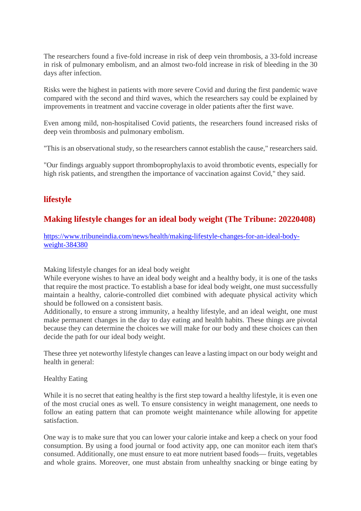The researchers found a five-fold increase in risk of deep vein thrombosis, a 33-fold increase in risk of pulmonary embolism, and an almost two-fold increase in risk of bleeding in the 30 days after infection.

Risks were the highest in patients with more severe Covid and during the first pandemic wave compared with the second and third waves, which the researchers say could be explained by improvements in treatment and vaccine coverage in older patients after the first wave.

Even among mild, non-hospitalised Covid patients, the researchers found increased risks of deep vein thrombosis and pulmonary embolism.

"This is an observational study, so the researchers cannot establish the cause," researchers said.

"Our findings arguably support thromboprophylaxis to avoid thrombotic events, especially for high risk patients, and strengthen the importance of vaccination against Covid," they said.

# **lifestyle**

# **Making lifestyle changes for an ideal body weight (The Tribune: 20220408)**

https://www.tribuneindia.com/news/health/making-lifestyle-changes-for-an-ideal-bodyweight-384380

Making lifestyle changes for an ideal body weight

While everyone wishes to have an ideal body weight and a healthy body, it is one of the tasks that require the most practice. To establish a base for ideal body weight, one must successfully maintain a healthy, calorie-controlled diet combined with adequate physical activity which should be followed on a consistent basis.

Additionally, to ensure a strong immunity, a healthy lifestyle, and an ideal weight, one must make permanent changes in the day to day eating and health habits. These things are pivotal because they can determine the choices we will make for our body and these choices can then decide the path for our ideal body weight.

These three yet noteworthy lifestyle changes can leave a lasting impact on our body weight and health in general:

#### Healthy Eating

While it is no secret that eating healthy is the first step toward a healthy lifestyle, it is even one of the most crucial ones as well. To ensure consistency in weight management, one needs to follow an eating pattern that can promote weight maintenance while allowing for appetite satisfaction.

One way is to make sure that you can lower your calorie intake and keep a check on your food consumption. By using a food journal or food activity app, one can monitor each item that's consumed. Additionally, one must ensure to eat more nutrient based foods— fruits, vegetables and whole grains. Moreover, one must abstain from unhealthy snacking or binge eating by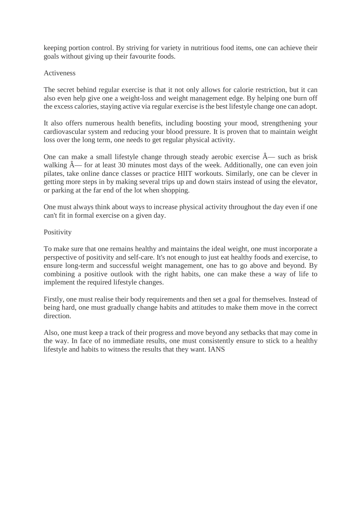keeping portion control. By striving for variety in nutritious food items, one can achieve their goals without giving up their favourite foods.

#### Activeness

The secret behind regular exercise is that it not only allows for calorie restriction, but it can also even help give one a weight-loss and weight management edge. By helping one burn off the excess calories, staying active via regular exercise is the best lifestyle change one can adopt.

It also offers numerous health benefits, including boosting your mood, strengthening your cardiovascular system and reducing your blood pressure. It is proven that to maintain weight loss over the long term, one needs to get regular physical activity.

One can make a small lifestyle change through steady aerobic exercise  $\hat{A}$ — such as brisk walking  $\hat{A}$ — for at least 30 minutes most days of the week. Additionally, one can even join pilates, take online dance classes or practice HIIT workouts. Similarly, one can be clever in getting more steps in by making several trips up and down stairs instead of using the elevator, or parking at the far end of the lot when shopping.

One must always think about ways to increase physical activity throughout the day even if one can't fit in formal exercise on a given day.

#### Positivity

To make sure that one remains healthy and maintains the ideal weight, one must incorporate a perspective of positivity and self-care. It's not enough to just eat healthy foods and exercise, to ensure long-term and successful weight management, one has to go above and beyond. By combining a positive outlook with the right habits, one can make these a way of life to implement the required lifestyle changes.

Firstly, one must realise their body requirements and then set a goal for themselves. Instead of being hard, one must gradually change habits and attitudes to make them move in the correct direction.

Also, one must keep a track of their progress and move beyond any setbacks that may come in the way. In face of no immediate results, one must consistently ensure to stick to a healthy lifestyle and habits to witness the results that they want. IANS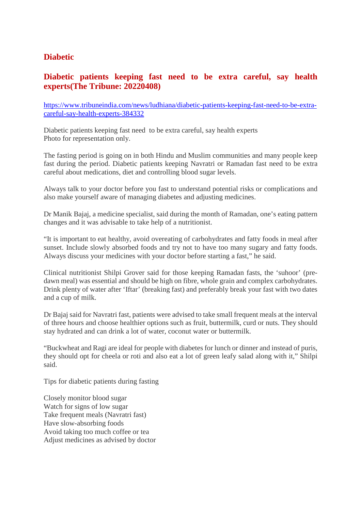# **Diabetic**

# **Diabetic patients keeping fast need to be extra careful, say health experts(The Tribune: 20220408)**

https://www.tribuneindia.com/news/ludhiana/diabetic-patients-keeping-fast-need-to-be-extracareful-say-health-experts-384332

Diabetic patients keeping fast need to be extra careful, say health experts Photo for representation only.

The fasting period is going on in both Hindu and Muslim communities and many people keep fast during the period. Diabetic patients keeping Navratri or Ramadan fast need to be extra careful about medications, diet and controlling blood sugar levels.

Always talk to your doctor before you fast to understand potential risks or complications and also make yourself aware of managing diabetes and adjusting medicines.

Dr Manik Bajaj, a medicine specialist, said during the month of Ramadan, one's eating pattern changes and it was advisable to take help of a nutritionist.

"It is important to eat healthy, avoid overeating of carbohydrates and fatty foods in meal after sunset. Include slowly absorbed foods and try not to have too many sugary and fatty foods. Always discuss your medicines with your doctor before starting a fast," he said.

Clinical nutritionist Shilpi Grover said for those keeping Ramadan fasts, the 'suhoor' (predawn meal) was essential and should be high on fibre, whole grain and complex carbohydrates. Drink plenty of water after 'Iftar' (breaking fast) and preferably break your fast with two dates and a cup of milk.

Dr Bajaj said for Navratri fast, patients were advised to take small frequent meals at the interval of three hours and choose healthier options such as fruit, buttermilk, curd or nuts. They should stay hydrated and can drink a lot of water, coconut water or buttermilk.

"Buckwheat and Ragi are ideal for people with diabetes for lunch or dinner and instead of puris, they should opt for cheela or roti and also eat a lot of green leafy salad along with it," Shilpi said.

Tips for diabetic patients during fasting

Closely monitor blood sugar Watch for signs of low sugar Take frequent meals (Navratri fast) Have slow-absorbing foods Avoid taking too much coffee or tea Adjust medicines as advised by doctor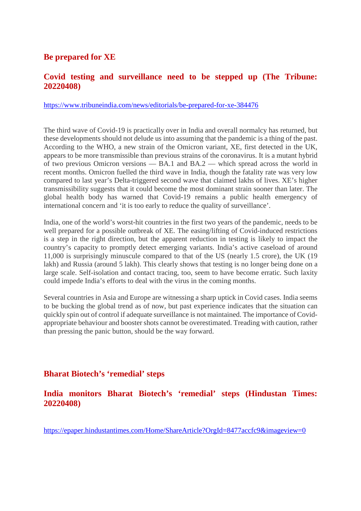# **Be prepared for XE**

# **Covid testing and surveillance need to be stepped up (The Tribune: 20220408)**

https://www.tribuneindia.com/news/editorials/be-prepared-for-xe-384476

The third wave of Covid-19 is practically over in India and overall normalcy has returned, but these developments should not delude us into assuming that the pandemic is a thing of the past. According to the WHO, a new strain of the Omicron variant, XE, first detected in the UK, appears to be more transmissible than previous strains of the coronavirus. It is a mutant hybrid of two previous Omicron versions — BA.1 and BA.2 — which spread across the world in recent months. Omicron fuelled the third wave in India, though the fatality rate was very low compared to last year's Delta-triggered second wave that claimed lakhs of lives. XE's higher transmissibility suggests that it could become the most dominant strain sooner than later. The global health body has warned that Covid-19 remains a public health emergency of international concern and 'it is too early to reduce the quality of surveillance'.

India, one of the world's worst-hit countries in the first two years of the pandemic, needs to be well prepared for a possible outbreak of XE. The easing/lifting of Covid-induced restrictions is a step in the right direction, but the apparent reduction in testing is likely to impact the country's capacity to promptly detect emerging variants. India's active caseload of around 11,000 is surprisingly minuscule compared to that of the US (nearly 1.5 crore), the UK (19 lakh) and Russia (around 5 lakh). This clearly shows that testing is no longer being done on a large scale. Self-isolation and contact tracing, too, seem to have become erratic. Such laxity could impede India's efforts to deal with the virus in the coming months.

Several countries in Asia and Europe are witnessing a sharp uptick in Covid cases. India seems to be bucking the global trend as of now, but past experience indicates that the situation can quickly spin out of control if adequate surveillance is not maintained. The importance of Covidappropriate behaviour and booster shots cannot be overestimated. Treading with caution, rather than pressing the panic button, should be the way forward.

## **Bharat Biotech's 'remedial' steps**

# **India monitors Bharat Biotech's 'remedial' steps (Hindustan Times: 20220408)**

https://epaper.hindustantimes.com/Home/ShareArticle?OrgId=8477accfc9&imageview=0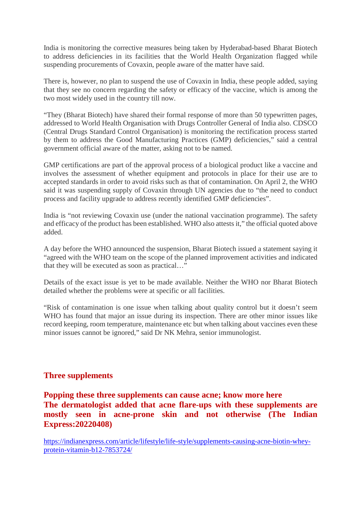India is monitoring the corrective measures being taken by Hyderabad-based Bharat Biotech to address deficiencies in its facilities that the World Health Organization flagged while suspending procurements of Covaxin, people aware of the matter have said.

There is, however, no plan to suspend the use of Covaxin in India, these people added, saying that they see no concern regarding the safety or efficacy of the vaccine, which is among the two most widely used in the country till now.

"They (Bharat Biotech) have shared their formal response of more than 50 typewritten pages, addressed to World Health Organisation with Drugs Controller General of India also. CDSCO (Central Drugs Standard Control Organisation) is monitoring the rectification process started by them to address the Good Manufacturing Practices (GMP) deficiencies," said a central government official aware of the matter, asking not to be named.

GMP certifications are part of the approval process of a biological product like a vaccine and involves the assessment of whether equipment and protocols in place for their use are to accepted standards in order to avoid risks such as that of contamination. On April 2, the WHO said it was suspending supply of Covaxin through UN agencies due to "the need to conduct process and facility upgrade to address recently identified GMP deficiencies".

India is "not reviewing Covaxin use (under the national vaccination programme). The safety and efficacy of the product has been established. WHO also attests it," the official quoted above added.

A day before the WHO announced the suspension, Bharat Biotech issued a statement saying it "agreed with the WHO team on the scope of the planned improvement activities and indicated that they will be executed as soon as practical…"

Details of the exact issue is yet to be made available. Neither the WHO nor Bharat Biotech detailed whether the problems were at specific or all facilities.

"Risk of contamination is one issue when talking about quality control but it doesn't seem WHO has found that major an issue during its inspection. There are other minor issues like record keeping, room temperature, maintenance etc but when talking about vaccines even these minor issues cannot be ignored," said Dr NK Mehra, senior immunologist.

## **Three supplements**

**Popping these three supplements can cause acne; know more here The dermatologist added that acne flare-ups with these supplements are mostly seen in acne-prone skin and not otherwise (The Indian Express:20220408)**

https://indianexpress.com/article/lifestyle/life-style/supplements-causing-acne-biotin-wheyprotein-vitamin-b12-7853724/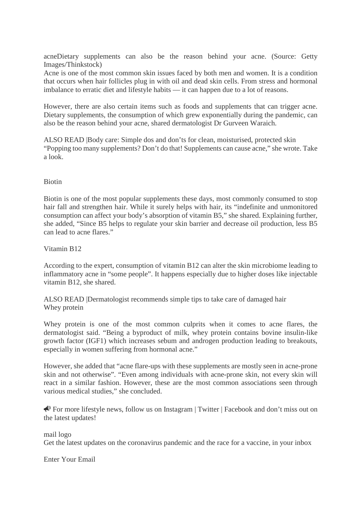acneDietary supplements can also be the reason behind your acne. (Source: Getty Images/Thinkstock)

Acne is one of the most common skin issues faced by both men and women. It is a condition that occurs when hair follicles plug in with oil and dead skin cells. From stress and hormonal imbalance to erratic diet and lifestyle habits — it can happen due to a lot of reasons.

However, there are also certain items such as foods and supplements that can trigger acne. Dietary supplements, the consumption of which grew exponentially during the pandemic, can also be the reason behind your acne, shared dermatologist Dr Gurveen Waraich.

ALSO READ |Body care: Simple dos and don'ts for clean, moisturised, protected skin "Popping too many supplements? Don't do that! Supplements can cause acne," she wrote. Take a look.

#### Biotin

Biotin is one of the most popular supplements these days, most commonly consumed to stop hair fall and strengthen hair. While it surely helps with hair, its "indefinite and unmonitored consumption can affect your body's absorption of vitamin B5," she shared. Explaining further, she added, "Since B5 helps to regulate your skin barrier and decrease oil production, less B5 can lead to acne flares."

Vitamin B12

According to the expert, consumption of vitamin B12 can alter the skin microbiome leading to inflammatory acne in "some people". It happens especially due to higher doses like injectable vitamin B12, she shared.

ALSO READ |Dermatologist recommends simple tips to take care of damaged hair Whey protein

Whey protein is one of the most common culprits when it comes to acne flares, the dermatologist said. "Being a byproduct of milk, whey protein contains bovine insulin-like growth factor (IGF1) which increases sebum and androgen production leading to breakouts, especially in women suffering from hormonal acne."

However, she added that "acne flare-ups with these supplements are mostly seen in acne-prone skin and not otherwise". "Even among individuals with acne-prone skin, not every skin will react in a similar fashion. However, these are the most common associations seen through various medical studies," she concluded.

 For more lifestyle news, follow us on Instagram | Twitter | Facebook and don't miss out on the latest updates!

mail logo Get the latest updates on the coronavirus pandemic and the race for a vaccine, in your inbox

Enter Your Email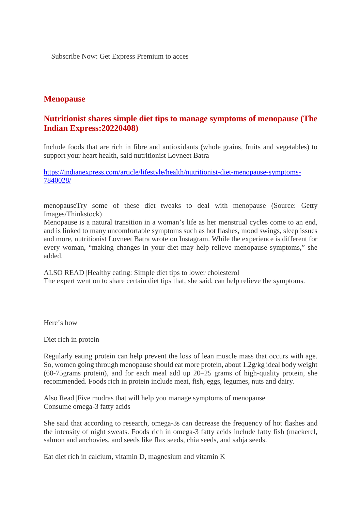Subscribe Now: Get Express Premium to acces

# **Menopause**

# **Nutritionist shares simple diet tips to manage symptoms of menopause (The Indian Express:20220408)**

Include foods that are rich in fibre and antioxidants (whole grains, fruits and vegetables) to support your heart health, said nutritionist Lovneet Batra

https://indianexpress.com/article/lifestyle/health/nutritionist-diet-menopause-symptoms-7840028/

menopauseTry some of these diet tweaks to deal with menopause (Source: Getty Images/Thinkstock)

Menopause is a natural transition in a woman's life as her menstrual cycles come to an end, and is linked to many uncomfortable symptoms such as hot flashes, mood swings, sleep issues and more, nutritionist Lovneet Batra wrote on Instagram. While the experience is different for every woman, "making changes in your diet may help relieve menopause symptoms," she added.

ALSO READ |Healthy eating: Simple diet tips to lower cholesterol The expert went on to share certain diet tips that, she said, can help relieve the symptoms.

Here's how

Diet rich in protein

Regularly eating protein can help prevent the loss of lean muscle mass that occurs with age. So, women going through menopause should eat more protein, about 1.2g/kg ideal body weight (60-75grams protein), and for each meal add up 20–25 grams of high-quality protein, she recommended. Foods rich in protein include meat, fish, eggs, legumes, nuts and dairy.

Also Read |Five mudras that will help you manage symptoms of menopause Consume omega-3 fatty acids

She said that according to research, omega-3s can decrease the frequency of hot flashes and the intensity of night sweats. Foods rich in omega-3 fatty acids include fatty fish (mackerel, salmon and anchovies, and seeds like flax seeds, chia seeds, and sabja seeds.

Eat diet rich in calcium, vitamin D, magnesium and vitamin K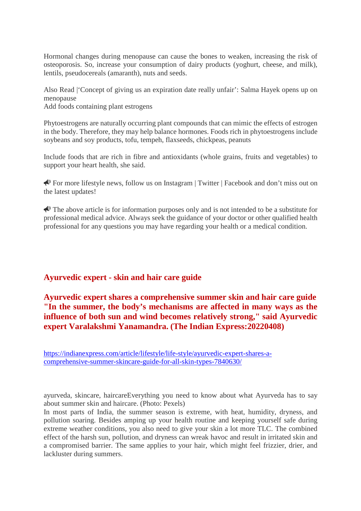Hormonal changes during menopause can cause the bones to weaken, increasing the risk of osteoporosis. So, increase your consumption of dairy products (yoghurt, cheese, and milk), lentils, pseudocereals (amaranth), nuts and seeds.

Also Read |'Concept of giving us an expiration date really unfair': Salma Hayek opens up on menopause

Add foods containing plant estrogens

Phytoestrogens are naturally occurring plant compounds that can mimic the effects of estrogen in the body. Therefore, they may help balance hormones. Foods rich in phytoestrogens include soybeans and soy products, tofu, tempeh, flaxseeds, chickpeas, peanuts

Include foods that are rich in fibre and antioxidants (whole grains, fruits and vegetables) to support your heart health, she said.

For more lifestyle news, follow us on Instagram | Twitter | Facebook and don't miss out on the latest updates!

 $\bigotimes$  The above article is for information purposes only and is not intended to be a substitute for professional medical advice. Always seek the guidance of your doctor or other qualified health professional for any questions you may have regarding your health or a medical condition.

## **Ayurvedic expert - skin and hair care guide**

# **Ayurvedic expert shares a comprehensive summer skin and hair care guide "In the summer, the body's mechanisms are affected in many ways as the influence of both sun and wind becomes relatively strong," said Ayurvedic expert Varalakshmi Yanamandra. (The Indian Express:20220408)**

https://indianexpress.com/article/lifestyle/life-style/ayurvedic-expert-shares-acomprehensive-summer-skincare-guide-for-all-skin-types-7840630/

ayurveda, skincare, haircareEverything you need to know about what Ayurveda has to say about summer skin and haircare. (Photo: Pexels)

In most parts of India, the summer season is extreme, with heat, humidity, dryness, and pollution soaring. Besides amping up your health routine and keeping yourself safe during extreme weather conditions, you also need to give your skin a lot more TLC. The combined effect of the harsh sun, pollution, and dryness can wreak havoc and result in irritated skin and a compromised barrier. The same applies to your hair, which might feel frizzier, drier, and lackluster during summers.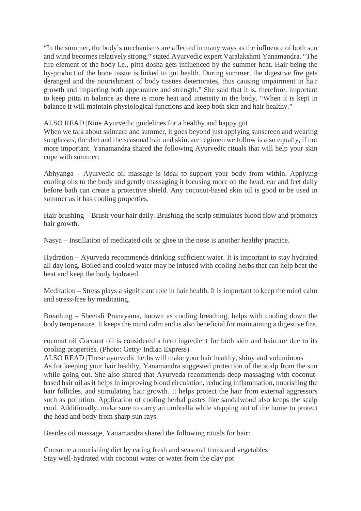"In the summer, the body's mechanisms are affected in many ways as the influence of both sun and wind becomes relatively strong," stated Ayurvedic expert Varalakshmi Yanamandra. "The fire element of the body i.e., pitta dosha gets influenced by the summer heat. Hair being the by-product of the bone tissue is linked to gut health. During summer, the digestive fire gets deranged and the nourishment of body tissues deteriorates, thus causing impairment in hair growth and impacting both appearance and strength." She said that it is, therefore, important to keep pitta in balance as there is more heat and intensity in the body. "When it is kept in balance it will maintain physiological functions and keep both skin and hair healthy."

ALSO READ |Nine Ayurvedic guidelines for a healthy and happy gut

When we talk about skincare and summer, it goes beyond just applying sunscreen and wearing sunglasses; the diet and the seasonal hair and skincare regimen we follow is also equally, if not more important. Yanamandra shared the following Ayurvedic rituals that will help your skin cope with summer:

Abhyanga – Ayurvedic oil massage is ideal to support your body from within. Applying cooling oils to the body and gently massaging it focusing more on the head, ear and feet daily before bath can create a protective shield. Any coconut-based skin oil is good to be used in summer as it has cooling properties.

Hair brushing – Brush your hair daily. Brushing the scalp stimulates blood flow and promotes hair growth.

Nasya – Instillation of medicated oils or ghee in the nose is another healthy practice.

Hydration – Ayurveda recommends drinking sufficient water. It is important to stay hydrated all day long. Boiled and cooled water may be infused with cooling herbs that can help beat the heat and keep the body hydrated.

Meditation – Stress plays a significant role in hair health. It is important to keep the mind calm and stress-free by meditating.

Breathing – Sheetali Pranayama, known as cooling breathing, helps with cooling down the body temperature. It keeps the mind calm and is also beneficial for maintaining a digestive fire.

coconut oil Coconut oil is considered a hero ingredient for both skin and haircare due to its cooling properties. (Photo: Getty/ Indian Express)

ALSO READ |These ayurvedic herbs will make your hair healthy, shiny and voluminous As for keeping your hair healthy, Yanamandra suggested protection of the scalp from the sun while going out. She also shared that Ayurveda recommends deep massaging with coconutbased hair oil as it helps in improving blood circulation, reducing inflammation, nourishing the hair follicles, and stimulating hair growth. It helps protect the hair from external aggressors such as pollution. Application of cooling herbal pastes like sandalwood also keeps the scalp cool. Additionally, make sure to carry an umbrella while stepping out of the home to protect the head and body from sharp sun rays.

Besides oil massage, Yanamandra shared the following rituals for hair:

Consume a nourishing diet by eating fresh and seasonal fruits and vegetables Stay well-hydrated with coconut water or water from the clay pot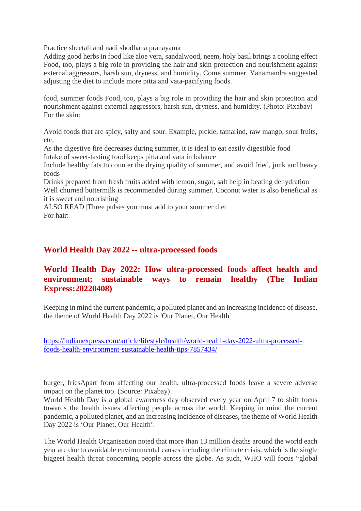Practice sheetali and nadi shodhana pranayama

Adding good herbs in food like aloe vera, sandalwood, neem, holy basil brings a cooling effect Food, too, plays a big role in providing the hair and skin protection and nourishment against external aggressors, harsh sun, dryness, and humidity. Come summer, Yanamandra suggested adjusting the diet to include more pitta and vata-pacifying foods.

food, summer foods Food, too, plays a big role in providing the hair and skin protection and nourishment against external aggressors, harsh sun, dryness, and humidity. (Photo: Pixabay) For the skin:

Avoid foods that are spicy, salty and sour. Example, pickle, tamarind, raw mango, sour fruits, etc.

As the digestive fire decreases during summer, it is ideal to eat easily digestible food Intake of sweet-tasting food keeps pitta and vata in balance

Include healthy fats to counter the drying quality of summer, and avoid fried, junk and heavy foods

Drinks prepared from fresh fruits added with lemon, sugar, salt help in beating dehydration Well churned buttermilk is recommended during summer. Coconut water is also beneficial as it is sweet and nourishing

ALSO READ |Three pulses you must add to your summer diet For hair:

#### **World Health Day 2022 -- ultra-processed foods**

# **World Health Day 2022: How ultra-processed foods affect health and environment; sustainable ways to remain healthy (The Indian Express:20220408)**

Keeping in mind the current pandemic, a polluted planet and an increasing incidence of disease, the theme of World Health Day 2022 is 'Our Planet, Our Health'

https://indianexpress.com/article/lifestyle/health/world-health-day-2022-ultra-processedfoods-health-environment-sustainable-health-tips-7857434/

burger, friesApart from affecting our health, ultra-processed foods leave a severe adverse impact on the planet too. (Source: Pixabay)

World Health Day is a global awareness day observed every year on April 7 to shift focus towards the health issues affecting people across the world. Keeping in mind the current pandemic, a polluted planet, and an increasing incidence of diseases, the theme of World Health Day 2022 is 'Our Planet, Our Health'.

The World Health Organisation noted that more than 13 million deaths around the world each year are due to avoidable environmental causes including the climate crisis, which is the single biggest health threat concerning people across the globe. As such, WHO will focus "global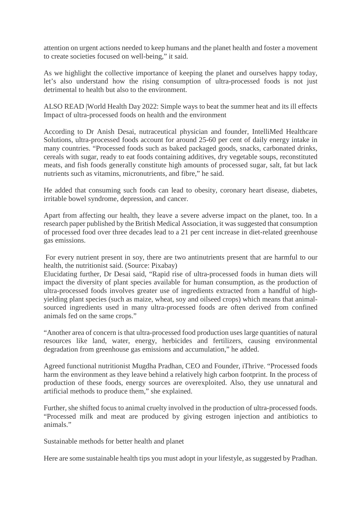attention on urgent actions needed to keep humans and the planet health and foster a movement to create societies focused on well-being," it said.

As we highlight the collective importance of keeping the planet and ourselves happy today, let's also understand how the rising consumption of ultra-processed foods is not just detrimental to health but also to the environment.

ALSO READ |World Health Day 2022: Simple ways to beat the summer heat and its ill effects Impact of ultra-processed foods on health and the environment

According to Dr Anish Desai, nutraceutical physician and founder, IntelliMed Healthcare Solutions, ultra-processed foods account for around 25-60 per cent of daily energy intake in many countries. "Processed foods such as baked packaged goods, snacks, carbonated drinks, cereals with sugar, ready to eat foods containing additives, dry vegetable soups, reconstituted meats, and fish foods generally constitute high amounts of processed sugar, salt, fat but lack nutrients such as vitamins, micronutrients, and fibre," he said.

He added that consuming such foods can lead to obesity, coronary heart disease, diabetes, irritable bowel syndrome, depression, and cancer.

Apart from affecting our health, they leave a severe adverse impact on the planet, too. In a research paper published by the British Medical Association, it was suggested that consumption of processed food over three decades lead to a 21 per cent increase in diet-related greenhouse gas emissions.

For every nutrient present in soy, there are two antinutrients present that are harmful to our health, the nutritionist said. (Source: Pixabay)

Elucidating further, Dr Desai said, "Rapid rise of ultra-processed foods in human diets will impact the diversity of plant species available for human consumption, as the production of ultra-processed foods involves greater use of ingredients extracted from a handful of highyielding plant species (such as maize, wheat, soy and oilseed crops) which means that animalsourced ingredients used in many ultra-processed foods are often derived from confined animals fed on the same crops."

"Another area of concern is that ultra-processed food production uses large quantities of natural resources like land, water, energy, herbicides and fertilizers, causing environmental degradation from greenhouse gas emissions and accumulation," he added.

Agreed functional nutritionist Mugdha Pradhan, CEO and Founder, iThrive. "Processed foods harm the environment as they leave behind a relatively high carbon footprint. In the process of production of these foods, energy sources are overexploited. Also, they use unnatural and artificial methods to produce them," she explained.

Further, she shifted focus to animal cruelty involved in the production of ultra-processed foods. "Processed milk and meat are produced by giving estrogen injection and antibiotics to animals."

Sustainable methods for better health and planet

Here are some sustainable health tips you must adopt in your lifestyle, as suggested by Pradhan.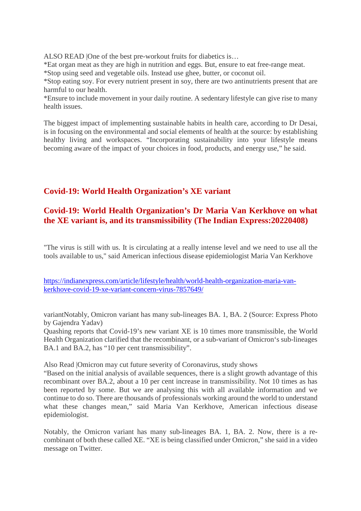ALSO READ |One of the best pre-workout fruits for diabetics is…

\*Eat organ meat as they are high in nutrition and eggs. But, ensure to eat free-range meat.

\*Stop using seed and vegetable oils. Instead use ghee, butter, or coconut oil.

\*Stop eating soy. For every nutrient present in soy, there are two antinutrients present that are harmful to our health.

\*Ensure to include movement in your daily routine. A sedentary lifestyle can give rise to many health issues.

The biggest impact of implementing sustainable habits in health care, according to Dr Desai, is in focusing on the environmental and social elements of health at the source: by establishing healthy living and workspaces. "Incorporating sustainability into your lifestyle means becoming aware of the impact of your choices in food, products, and energy use," he said.

# **Covid-19: World Health Organization's XE variant**

# **Covid-19: World Health Organization's Dr Maria Van Kerkhove on what the XE variant is, and its transmissibility (The Indian Express:20220408)**

"The virus is still with us. It is circulating at a really intense level and we need to use all the tools available to us," said American infectious disease epidemiologist Maria Van Kerkhove

https://indianexpress.com/article/lifestyle/health/world-health-organization-maria-vankerkhove-covid-19-xe-variant-concern-virus-7857649/

variantNotably, Omicron variant has many sub-lineages BA. 1, BA. 2 (Source: Express Photo by Gajendra Yadav)

Quashing reports that Covid-19's new variant XE is 10 times more transmissible, the World Health Organization clarified that the recombinant, or a sub-variant of Omicron's sub-lineages BA.1 and BA.2, has "10 per cent transmissibility".

Also Read |Omicron may cut future severity of Coronavirus, study shows

"Based on the initial analysis of available sequences, there is a slight growth advantage of this recombinant over BA.2, about a 10 per cent increase in transmissibility. Not 10 times as has been reported by some. But we are analysing this with all available information and we continue to do so. There are thousands of professionals working around the world to understand what these changes mean," said Maria Van Kerkhove, American infectious disease epidemiologist.

Notably, the Omicron variant has many sub-lineages BA. 1, BA. 2. Now, there is a recombinant of both these called XE. "XE is being classified under Omicron," she said in a video message on Twitter.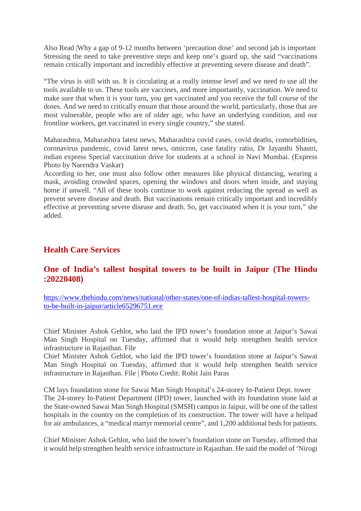Also Read |Why a gap of 9-12 months between 'precaution dose' and second jab is important Stressing the need to take preventive steps and keep one's guard up, she said "vaccinations remain critically important and incredibly effective at preventing severe disease and death".

"The virus is still with us. It is circulating at a really intense level and we need to use all the tools available to us. These tools are vaccines, and more importantly, vaccination. We need to make sure that when it is your turn, you get vaccinated and you receive the full course of the doses. And we need to critically ensure that those around the world, particularly, those that are most vulnerable, people who are of older age, who have an underlying condition, and our frontline workers, get vaccinated in every single country," she stated.

Maharashtra, Maharashtra latest news, Maharashtra covid cases, covid deaths, comorbidities, coronavirus pandemic, covid latest news, omicron, case fatality ratio, Dr Jayanthi Shastri, indian express Special vaccination drive for students at a school in Navi Mumbai. (Express Photo by Narendra Vaskar)

According to her, one must also follow other measures like physical distancing, wearing a mask, avoiding crowded spaces, opening the windows and doors when inside, and staying home if unwell. "All of these tools continue to work against reducing the spread as well as prevent severe disease and death. But vaccinations remain critically important and incredibly effective at preventing severe disease and death. So, get vaccinated when it is your turn," she added.

# **Health Care Services**

# **One of India's tallest hospital towers to be built in Jaipur (The Hindu :20220408)**

https://www.thehindu.com/news/national/other-states/one-of-indias-tallest-hospital-towersto-be-built-in-jaipur/article65296751.ece

Chief Minister Ashok Gehlot, who laid the IPD tower's foundation stone at Jaipur's Sawai Man Singh Hospital on Tuesday, affirmed that it would help strengthen health service infrastructure in Rajasthan. File

Chief Minister Ashok Gehlot, who laid the IPD tower's foundation stone at Jaipur's Sawai Man Singh Hospital on Tuesday, affirmed that it would help strengthen health service infrastructure in Rajasthan. File | Photo Credit: Rohit Jain Paras

CM lays foundation stone for Sawai Man Singh Hospital's 24-storey In-Patient Dept. tower The 24-storey In-Patient Department (IPD) tower, launched with its foundation stone laid at the State-owned Sawai Man Singh Hospital (SMSH) campus in Jaipur, will be one of the tallest hospitals in the country on the completion of its construction. The tower will have a helipad for air ambulances, a "medical martyr memorial centre", and 1,200 additional beds for patients.

Chief Minister Ashok Gehlot, who laid the tower's foundation stone on Tuesday, affirmed that it would help strengthen health service infrastructure in Rajasthan. He said the model of 'Nirogi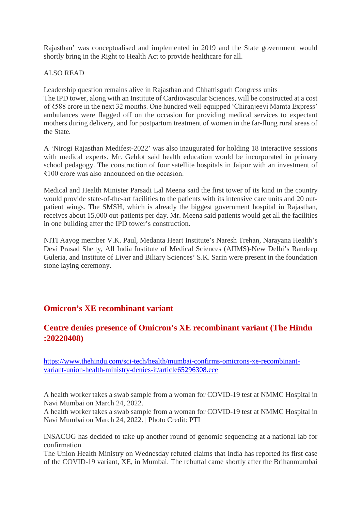Rajasthan' was conceptualised and implemented in 2019 and the State government would shortly bring in the Right to Health Act to provide healthcare for all.

#### ALSO READ

Leadership question remains alive in Rajasthan and Chhattisgarh Congress units The IPD tower, along with an Institute of Cardiovascular Sciences, will be constructed at a cost of ₹588 crore in the next 32 months. One hundred well-equipped 'Chiranjeevi Mamta Express' ambulances were flagged off on the occasion for providing medical services to expectant mothers during delivery, and for postpartum treatment of women in the far-flung rural areas of the State.

A 'Nirogi Rajasthan Medifest-2022' was also inaugurated for holding 18 interactive sessions with medical experts. Mr. Gehlot said health education would be incorporated in primary school pedagogy. The construction of four satellite hospitals in Jaipur with an investment of ₹100 crore was also announced on the occasion.

Medical and Health Minister Parsadi Lal Meena said the first tower of its kind in the country would provide state-of-the-art facilities to the patients with its intensive care units and 20 outpatient wings. The SMSH, which is already the biggest government hospital in Rajasthan, receives about 15,000 out-patients per day. Mr. Meena said patients would get all the facilities in one building after the IPD tower's construction.

NITI Aayog member V.K. Paul, Medanta Heart Institute's Naresh Trehan, Narayana Health's Devi Prasad Shetty, All India Institute of Medical Sciences (AIIMS)-New Delhi's Randeep Guleria, and Institute of Liver and Biliary Sciences' S.K. Sarin were present in the foundation stone laying ceremony.

# **Omicron's XE recombinant variant**

# **Centre denies presence of Omicron's XE recombinant variant (The Hindu :20220408)**

https://www.thehindu.com/sci-tech/health/mumbai-confirms-omicrons-xe-recombinantvariant-union-health-ministry-denies-it/article65296308.ece

A health worker takes a swab sample from a woman for COVID-19 test at NMMC Hospital in Navi Mumbai on March 24, 2022.

A health worker takes a swab sample from a woman for COVID-19 test at NMMC Hospital in Navi Mumbai on March 24, 2022. | Photo Credit: PTI

INSACOG has decided to take up another round of genomic sequencing at a national lab for confirmation

The Union Health Ministry on Wednesday refuted claims that India has reported its first case of the COVID-19 variant, XE, in Mumbai. The rebuttal came shortly after the Brihanmumbai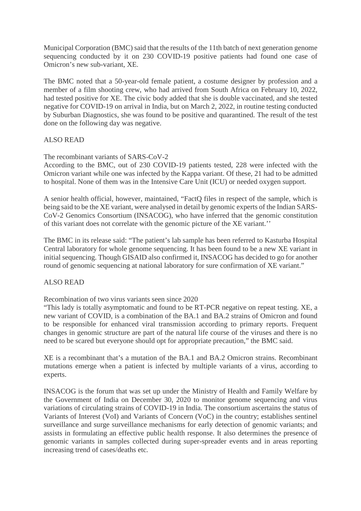Municipal Corporation (BMC) said that the results of the 11th batch of next generation genome sequencing conducted by it on 230 COVID-19 positive patients had found one case of Omicron's new sub-variant, XE.

The BMC noted that a 50-year-old female patient, a costume designer by profession and a member of a film shooting crew, who had arrived from South Africa on February 10, 2022, had tested positive for XE. The civic body added that she is double vaccinated, and she tested negative for COVID-19 on arrival in India, but on March 2, 2022, in routine testing conducted by Suburban Diagnostics, she was found to be positive and quarantined. The result of the test done on the following day was negative.

#### ALSO READ

The recombinant variants of SARS-CoV-2

According to the BMC, out of 230 COVID-19 patients tested, 228 were infected with the Omicron variant while one was infected by the Kappa variant. Of these, 21 had to be admitted to hospital. None of them was in the Intensive Care Unit (ICU) or needed oxygen support.

A senior health official, however, maintained, "FactQ files in respect of the sample, which is being said to be the XE variant, were analysed in detail by genomic experts of the Indian SARS-CoV-2 Genomics Consortium (INSACOG), who have inferred that the genomic constitution of this variant does not correlate with the genomic picture of the XE variant.''

The BMC in its release said: "The patient's lab sample has been referred to Kasturba Hospital Central laboratory for whole genome sequencing. It has been found to be a new XE variant in initial sequencing. Though GISAID also confirmed it, INSACOG has decided to go for another round of genomic sequencing at national laboratory for sure confirmation of XE variant."

#### ALSO READ

Recombination of two virus variants seen since 2020

"This lady is totally asymptomatic and found to be RT-PCR negative on repeat testing. XE, a new variant of COVID, is a combination of the BA.1 and BA.2 strains of Omicron and found to be responsible for enhanced viral transmission according to primary reports. Frequent changes in genomic structure are part of the natural life course of the viruses and there is no need to be scared but everyone should opt for appropriate precaution," the BMC said.

XE is a recombinant that's a mutation of the BA.1 and BA.2 Omicron strains. Recombinant mutations emerge when a patient is infected by multiple variants of a virus, according to experts.

INSACOG is the forum that was set up under the Ministry of Health and Family Welfare by the Government of India on December 30, 2020 to monitor genome sequencing and virus variations of circulating strains of COVID-19 in India. The consortium ascertains the status of Variants of Interest (VoI) and Variants of Concern (VoC) in the country; establishes sentinel surveillance and surge surveillance mechanisms for early detection of genomic variants; and assists in formulating an effective public health response. It also determines the presence of genomic variants in samples collected during super-spreader events and in areas reporting increasing trend of cases/deaths etc.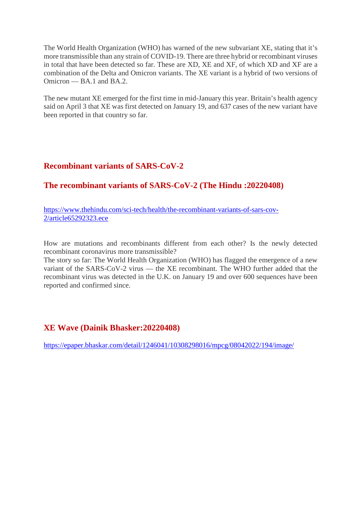The World Health Organization (WHO) has warned of the new subvariant XE, stating that it's more transmissible than any strain of COVID-19. There are three hybrid or recombinant viruses in total that have been detected so far. These are XD, XE and XF, of which XD and XF are a combination of the Delta and Omicron variants. The XE variant is a hybrid of two versions of Omicron — BA.1 and BA.2.

The new mutant XE emerged for the first time in mid-January this year. Britain's health agency said on April 3 that XE was first detected on January 19, and 637 cases of the new variant have been reported in that country so far.

# **Recombinant variants of SARS-CoV-2**

# **The recombinant variants of SARS-CoV-2 (The Hindu :20220408)**

https://www.thehindu.com/sci-tech/health/the-recombinant-variants-of-sars-cov-2/article65292323.ece

How are mutations and recombinants different from each other? Is the newly detected recombinant coronavirus more transmissible?

The story so far: The World Health Organization (WHO) has flagged the emergence of a new variant of the SARS-CoV-2 virus — the XE recombinant. The WHO further added that the recombinant virus was detected in the U.K. on January 19 and over 600 sequences have been reported and confirmed since.

# **XE Wave (Dainik Bhasker:20220408)**

https://epaper.bhaskar.com/detail/1246041/10308298016/mpcg/08042022/194/image/